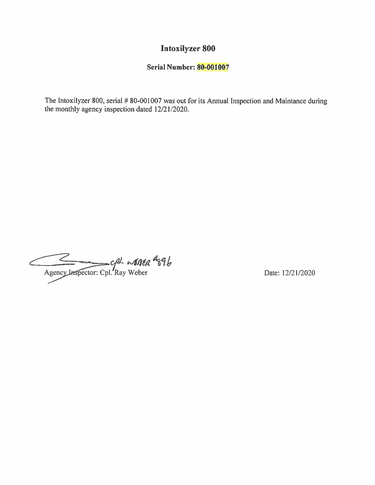### **Intoxilyzer 800**

### **Serial Number: 80-001007**

The Intoxilyzer 800, serial # 80-001007 was out for its Annual Inspection and Maintance during the monthly agency inspection dated 12/21/2020.

Agency Inspector: Cpl. Ray Weber

Date: 12/21/2020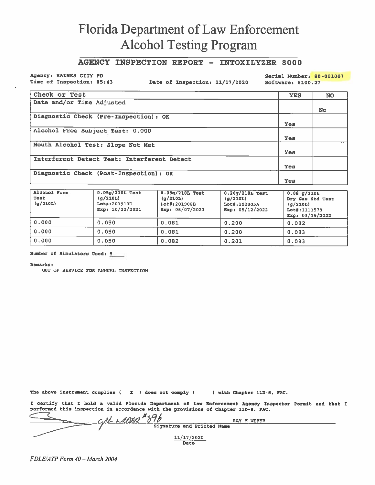### AGENCY INSPECTION REPORT - INTOXILYZER 8000

Agency: HAINES CITY PD Time of Inspection: 05:43

Date of Inspection: 11/17/2020

Serial Number: 80-001007

Software: 8100.27

| Check or Test                               | <b>YES</b> | <b>NO</b> |
|---------------------------------------------|------------|-----------|
| Date and/or Time Adjusted                   |            |           |
|                                             |            | <b>No</b> |
| Diagnostic Check (Pre-Inspection): OK       |            |           |
|                                             | <b>Yes</b> |           |
| Alcohol Free Subject Test: 0.000            |            |           |
|                                             | <b>Yes</b> |           |
| Mouth Alcohol Test: Slope Not Met           |            |           |
|                                             | Yes        |           |
| Interferent Detect Test: Interferent Detect |            |           |
|                                             | Yes        |           |
| Diagnostic Check (Post-Inspection): OK      |            |           |
|                                             | Yes        |           |

| Alcohol Free<br>Test<br>(q/210L) | $0.05q/210L$ Test<br>(q/210L)<br>Lot#:201910D<br>Exp: $10/22/2021$ | $0.08q/210L$ Test<br>(g/210L)<br>Lot#:201908B<br>Exp: $08/07/2021$ | $0.20g/210L$ Test<br>(g/210L)<br>Lot#:202005A<br>Exp: 05/12/2022 | $0.08$ g/210L<br>Dry Gas Std Test<br>(g/210L)<br>Lot#:1111579<br>Exp: 03/19/2022 |
|----------------------------------|--------------------------------------------------------------------|--------------------------------------------------------------------|------------------------------------------------------------------|----------------------------------------------------------------------------------|
| 0.000                            | 0.050                                                              | 0.081                                                              | 0.200                                                            | 0.082                                                                            |
| 0.000                            | 0.050                                                              | 0.081                                                              | 0.200                                                            | 0.083                                                                            |
| 0.000                            | 0.050                                                              | 0.082                                                              | 0.201                                                            | 0.083                                                                            |

Number of Simulators Used: 5

Remarks:

OUT OF SERVICE FOR ANNUAL INSPECTION

The above instrument complies ( X ) does not comply ( ) with Chapter 11D-8, FAC.

I certify that I hold a valid Florida Department of Law Enforcement Agency Inspector Permit and that I performed this inspection in accordance with the provisions of Chapter 11D-8, FAC.

| $H \in \mathbf{\Omega}$    | RAY M WEBER |
|----------------------------|-------------|
| Signature and Printed Name |             |
| 11/17/2020<br>Date         |             |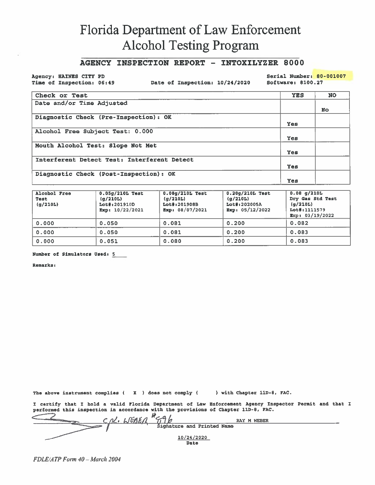#### **AGENCY INSPECTION REPORT - INTOXILYZER 8000**

Agency: HAINES CITY PD Time of Inspection: 06:49

Date of Inspection: 10/24/2020

Serial Number: 80-001007 Software: 8100.27

| Check or Test                               | <b>YES</b> | <b>NO</b> |
|---------------------------------------------|------------|-----------|
| Date and/or Time Adjusted                   |            |           |
|                                             |            | No.       |
| Diagnostic Check (Pre-Inspection): OK       |            |           |
|                                             | Yes        |           |
| Alcohol Free Subject Test: 0.000            |            |           |
|                                             | Yes        |           |
| Mouth Alcohol Test: Slope Not Met           |            |           |
|                                             | Yes        |           |
| Interferent Detect Test: Interferent Detect |            |           |
|                                             | Yes        |           |
| Diagnostic Check (Post-Inspection): OK      |            |           |
|                                             | Yes        |           |

| Alcohol Free<br>Test<br>(q/210L) | $0.05g/210L$ Test<br>(g/210L)<br>Lot#:201910D<br>Exp: $10/22/2021$ | $0.08g/210L$ Test<br>(q/210L)<br>Lot#:201908B<br>Exp: $08/07/2021$ | $0.20q/210L$ Test<br>(q/210L)<br>Lot#:202005A<br>Exp: 05/12/2022 | $0.08$ g/210L<br>Dry Gas Std Test<br>(q/210L)<br>Lot#:1111579<br>Exp: 03/19/2022 |
|----------------------------------|--------------------------------------------------------------------|--------------------------------------------------------------------|------------------------------------------------------------------|----------------------------------------------------------------------------------|
| 0.000                            | 0.050                                                              | 0.081                                                              | 0.200                                                            | 0.082                                                                            |
| 0.000                            | 0.050                                                              | 0.081                                                              | 0.200                                                            | 0.083                                                                            |
| 0.000                            | 0.051                                                              | 0.080                                                              | 0.200                                                            | 0.083                                                                            |

Number of Simulators Used: 5

**Remarks:** 

The above instrument complies ( I ) does not comply ( ) with Chapter 11D-8, FAC.

I certify that I hold a valid Florida Department of Law Enforcement Agency Inspector Permit and that I performed this inspection in accordance with the provisions of Chapter 11D-8, FAC.

H<sub>CO</sub> /<br>Signature and Printed Name 1. LJENEA RAY M WEBER  $10/24/2020$ Date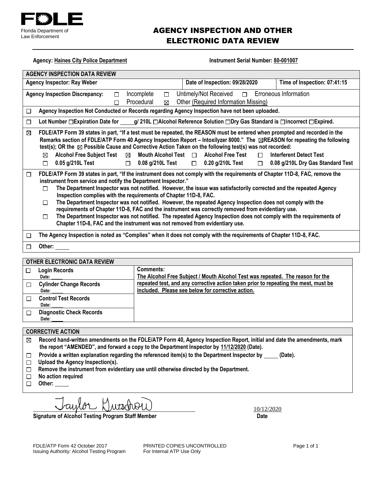

### AGENCY INSPECTION AND OTHER ELECTRONIC DATA REVIEW

| <b>Agency: Haines City Police Department</b>                                                                                                                                                                                                                                                                                                                                                                                                                                                                                                                                                                                                                                                                                                                                                                                             | Instrument Serial Number: 80-001007                                                                                                                                                                                                                                                                                                                                                                                                                                                                                                                                                 |                                                                                   |  |  |  |  |
|------------------------------------------------------------------------------------------------------------------------------------------------------------------------------------------------------------------------------------------------------------------------------------------------------------------------------------------------------------------------------------------------------------------------------------------------------------------------------------------------------------------------------------------------------------------------------------------------------------------------------------------------------------------------------------------------------------------------------------------------------------------------------------------------------------------------------------------|-------------------------------------------------------------------------------------------------------------------------------------------------------------------------------------------------------------------------------------------------------------------------------------------------------------------------------------------------------------------------------------------------------------------------------------------------------------------------------------------------------------------------------------------------------------------------------------|-----------------------------------------------------------------------------------|--|--|--|--|
| <b>AGENCY INSPECTION DATA REVIEW</b>                                                                                                                                                                                                                                                                                                                                                                                                                                                                                                                                                                                                                                                                                                                                                                                                     |                                                                                                                                                                                                                                                                                                                                                                                                                                                                                                                                                                                     |                                                                                   |  |  |  |  |
| Date of Inspection: 09/28/2020<br>Time of Inspection: 07:41:15<br><b>Agency Inspector: Ray Weber</b>                                                                                                                                                                                                                                                                                                                                                                                                                                                                                                                                                                                                                                                                                                                                     |                                                                                                                                                                                                                                                                                                                                                                                                                                                                                                                                                                                     |                                                                                   |  |  |  |  |
| Untimely/Not Received<br>Incomplete<br>Erroneous Information<br><b>Agency Inspection Discrepancy:</b><br>$\Box$<br>$\Box$<br>$\Box$                                                                                                                                                                                                                                                                                                                                                                                                                                                                                                                                                                                                                                                                                                      |                                                                                                                                                                                                                                                                                                                                                                                                                                                                                                                                                                                     |                                                                                   |  |  |  |  |
| П                                                                                                                                                                                                                                                                                                                                                                                                                                                                                                                                                                                                                                                                                                                                                                                                                                        | Procedural<br>⊠                                                                                                                                                                                                                                                                                                                                                                                                                                                                                                                                                                     | Other (Required Information Missing)                                              |  |  |  |  |
| Agency Inspection Not Conducted or Records regarding Agency Inspection have not been uploaded.<br>П                                                                                                                                                                                                                                                                                                                                                                                                                                                                                                                                                                                                                                                                                                                                      |                                                                                                                                                                                                                                                                                                                                                                                                                                                                                                                                                                                     |                                                                                   |  |  |  |  |
| Lot Number □ Expiration Date for _____<br>$\Box$                                                                                                                                                                                                                                                                                                                                                                                                                                                                                                                                                                                                                                                                                                                                                                                         |                                                                                                                                                                                                                                                                                                                                                                                                                                                                                                                                                                                     | g/ 210L □ Alcohol Reference Solution □ Dry Gas Standard is □ Incorrect □ Expired. |  |  |  |  |
| ⊠<br><b>Alcohol Free Subject Test</b><br>$\boxtimes$<br>⊠<br>0.05 g/210L Test<br>П                                                                                                                                                                                                                                                                                                                                                                                                                                                                                                                                                                                                                                                                                                                                                       | FDLE/ATP Form 39 states in part, "If a test must be repeated, the REASON must be entered when prompted and recorded in the<br>Remarks section of FDLE/ATP Form 40 Agency Inspection Report – Intoxilyzer 8000." The ⊠REASON for repeating the following<br>test(s); OR the $\boxtimes$ Possible Cause and Corrective Action Taken on the following test(s) was not recorded:<br><b>Alcohol Free Test</b><br>Mouth Alcohol Test $\Box$<br><b>Interferent Detect Test</b><br>$\Box$<br>$\Box$ 0.08 g/210L Test<br>$\Box$ 0.20 g/210L Test<br>$\Box$ 0.08 g/210L Dry Gas Standard Test |                                                                                   |  |  |  |  |
| FDLE/ATP Form 39 states in part, "If the instrument does not comply with the requirements of Chapter 11D-8, FAC, remove the<br>$\Box$<br>instrument from service and notify the Department Inspector."<br>The Department Inspector was not notified. However, the issue was satisfactorily corrected and the repeated Agency<br>П<br>Inspection complies with the requirements of Chapter 11D-8, FAC.<br>The Department Inspector was not notified. However, the repeated Agency Inspection does not comply with the<br>□<br>requirements of Chapter 11D-8, FAC and the instrument was correctly removed from evidentiary use.<br>The Department Inspector was not notified. The repeated Agency Inspection does not comply with the requirements of<br>□<br>Chapter 11D-8, FAC and the instrument was not removed from evidentiary use. |                                                                                                                                                                                                                                                                                                                                                                                                                                                                                                                                                                                     |                                                                                   |  |  |  |  |
| The Agency Inspection is noted as "Complies" when it does not comply with the requirements of Chapter 11D-8, FAC.<br>□                                                                                                                                                                                                                                                                                                                                                                                                                                                                                                                                                                                                                                                                                                                   |                                                                                                                                                                                                                                                                                                                                                                                                                                                                                                                                                                                     |                                                                                   |  |  |  |  |
| Other:<br>⊓                                                                                                                                                                                                                                                                                                                                                                                                                                                                                                                                                                                                                                                                                                                                                                                                                              |                                                                                                                                                                                                                                                                                                                                                                                                                                                                                                                                                                                     |                                                                                   |  |  |  |  |
| <b>OTHER ELECTRONIC DATA REVIEW</b>                                                                                                                                                                                                                                                                                                                                                                                                                                                                                                                                                                                                                                                                                                                                                                                                      |                                                                                                                                                                                                                                                                                                                                                                                                                                                                                                                                                                                     |                                                                                   |  |  |  |  |
| <b>Comments:</b><br><b>Login Records</b><br>$\Box$<br>The Alcohol Free Subject / Mouth Alcohol Test was repeated. The reason for the<br>Date:<br>repeated test, and any corrective action taken prior to repeating the mest, must be<br><b>Cylinder Change Records</b><br>□                                                                                                                                                                                                                                                                                                                                                                                                                                                                                                                                                              |                                                                                                                                                                                                                                                                                                                                                                                                                                                                                                                                                                                     |                                                                                   |  |  |  |  |
| included. Please see below for corrective action.<br>Date:                                                                                                                                                                                                                                                                                                                                                                                                                                                                                                                                                                                                                                                                                                                                                                               |                                                                                                                                                                                                                                                                                                                                                                                                                                                                                                                                                                                     |                                                                                   |  |  |  |  |
| <b>Control Test Records</b><br>□<br>Date:                                                                                                                                                                                                                                                                                                                                                                                                                                                                                                                                                                                                                                                                                                                                                                                                |                                                                                                                                                                                                                                                                                                                                                                                                                                                                                                                                                                                     |                                                                                   |  |  |  |  |
| <b>Diagnostic Check Records</b><br>□<br>Date:                                                                                                                                                                                                                                                                                                                                                                                                                                                                                                                                                                                                                                                                                                                                                                                            |                                                                                                                                                                                                                                                                                                                                                                                                                                                                                                                                                                                     |                                                                                   |  |  |  |  |
| <b>CORRECTIVE ACTION</b>                                                                                                                                                                                                                                                                                                                                                                                                                                                                                                                                                                                                                                                                                                                                                                                                                 |                                                                                                                                                                                                                                                                                                                                                                                                                                                                                                                                                                                     |                                                                                   |  |  |  |  |

- **Record hand-written amendments on the FDLE/ATP Form 40, Agency Inspection Report, initial and date the amendments, mark the report "AMENDED", and forward a copy to the Department Inspector by 11/12/2020 (Date).**
- Provide a written explanation regarding the referenced item(s) to the Department Inspector by \_\_\_\_\_(Date).  $\Box$
- **Upload the Agency Inspection(s).**
- **Remove the instrument from evidentiary use until otherwise directed by the Department.**
- **No action required**  $\Box$
- **Other:**

 $\text{W13} \oplus \text{W1} \qquad \qquad \text{W12} \oplus \text{W1} \qquad \qquad \text{W14} \oplus \text{W1} \qquad \qquad \text{W15} \oplus \text{W1} \oplus \text{W1} \oplus \text{W1} \oplus \text{W1} \oplus \text{W1} \oplus \text{W1} \oplus \text{W1} \oplus \text{W1} \oplus \text{W1} \oplus \text{W1} \oplus \text{W1} \oplus \text{W1} \oplus \text{W1} \oplus \text{W1} \oplus \text{W1} \oplus \text{W1} \oplus$ 

Signature of Alcohol Testing Program Staff Member **Date in the United State** Date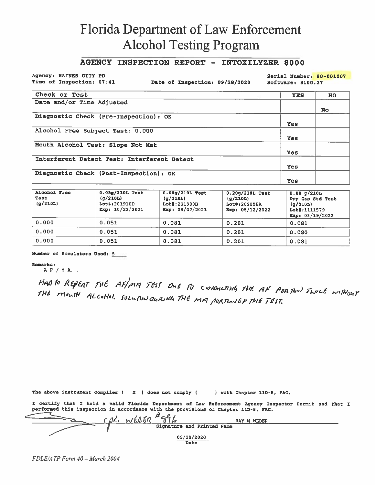#### **AGENCY INSPECTION REPORT - INTOXILYZER 8000**

Agency: HAINES CITY PD Time of Inspection: 07:41

Date of Inspection: 09/28/2020

Serial Number: 80-001007

Software: 8100.27

| Check or Test                               | <b>YES</b> | <b>NO</b> |
|---------------------------------------------|------------|-----------|
| Date and/or Time Adjusted                   |            |           |
|                                             |            | <b>No</b> |
| Diagnostic Check (Pre-Inspection): OK       |            |           |
|                                             | Yes        |           |
| Alcohol Free Subject Test: 0.000            |            |           |
|                                             | Yes        |           |
| Mouth Alcohol Test: Slope Not Met           |            |           |
|                                             | Yes        |           |
| Interferent Detect Test: Interferent Detect |            |           |
|                                             | Yes        |           |
| Diagnostic Check (Post-Inspection): OK      |            |           |
|                                             | Yes        |           |

| Alcohol Free<br>Test<br>(q/210L) | $0.05g/210L$ Test<br>(g/210L)<br>Lot#:201910D<br>Exp: $10/22/2021$ | $0.08g/210L$ Test<br>(q/210L)<br>Lot#:201908B<br>Exp: 08/07/2021 | $0.20g/210L$ Test<br>(g/210L)<br>Lot#:202005A<br>Exp: $05/12/2022$ | 0.08 q/210L<br>Dry Gas Std Test<br>(q/210L)<br>Lot#:1111579<br>Exp: $03/19/2022$ |
|----------------------------------|--------------------------------------------------------------------|------------------------------------------------------------------|--------------------------------------------------------------------|----------------------------------------------------------------------------------|
| 0.000                            | 0.051                                                              | 0.081                                                            | 0.201                                                              | 0.081                                                                            |
| 0.000                            | 0.051                                                              | 0.081                                                            | 0.201                                                              | 0.080                                                                            |
| 0.000                            | 0.051                                                              | 0.081                                                            | 0.201                                                              | 0.081                                                                            |

Number of Simulators Used: 5

#### **Remarks:**

 $A F / M A$ :

HAD TO REPEAT THE AF/MA TEST ONE TO CONDUCTING THE AF PORTON TWICE WITHOUT THE MONTH ALCOHOL SOLUPUNDURING THE MA PORTION OF THE TEST.

The above instrument complies  $(x)$  does not comply  $(x)$ ) with Chapter 11D-8, FAC.

I certify that I hold a valid Florida Department of Law Enforcement Agency Inspector Permit and that I performed this inspection in accordance with the provisions of Chapter 11D-8, FAC.

 $\frac{\beta \ell}{\mathcal{N}}$   $\frac{\beta \zeta \zeta}{\mathcal{N}}$   $\frac{\beta \zeta}{\mathcal{N}}$  signature and Printed Name RAY M WEBER  $09/28/2020$ Date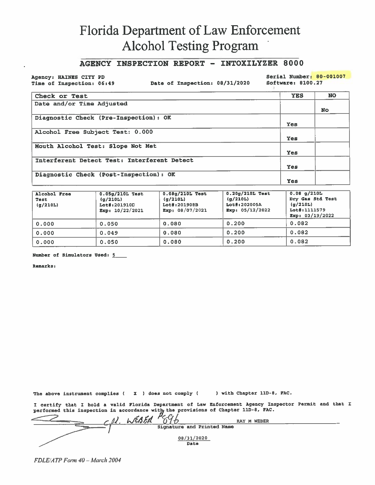#### AGENCY INSPECTION REPORT - INTOXILYZER 8000

Agency: HAINES CITY PD Time of Inspection: 06:49

Date of Inspection: 08/31/2020

Serial Number: 80-001007

Software: 8100.27

| Check or Test                               | <b>YES</b> | <b>NO</b> |
|---------------------------------------------|------------|-----------|
| Date and/or Time Adjusted                   |            |           |
|                                             |            | <b>No</b> |
| Diagnostic Check (Pre-Inspection): OK       |            |           |
|                                             | Yes        |           |
| Alcohol Free Subject Test: 0.000            |            |           |
|                                             | <b>Yes</b> |           |
| Mouth Alcohol Test: Slope Not Met           |            |           |
|                                             | Yes        |           |
| Interferent Detect Test: Interferent Detect |            |           |
|                                             | Yes        |           |
| Diagnostic Check (Post-Inspection): OK      |            |           |
|                                             | Yes        |           |

| Alcohol Free<br>Test<br>(q/210L) | $0.05g/210L$ Test<br>(q/210L)<br>Lot#:201910D<br>Exp: $10/22/2021$ | $0.08g/210L$ Test<br>(g/210L)<br>Lot#:201908B<br>Exp: $08/07/2021$ | $0.20g/210L$ Test<br>(g/210L)<br>Lot#:202005A<br>Exp: $05/12/2022$ | 0.08 q/210L<br>Dry Gas Std Test<br>(g/210L)<br>Lot#:1111579<br>Exp: $03/19/2022$ |
|----------------------------------|--------------------------------------------------------------------|--------------------------------------------------------------------|--------------------------------------------------------------------|----------------------------------------------------------------------------------|
| 0.000                            | 0.050                                                              | 0.080                                                              | 0.200                                                              | 0.082                                                                            |
| 0.000                            | 0.049                                                              | 0.080                                                              | 0.200                                                              | 0.082                                                                            |
| 0.000                            | 0.050                                                              | 0.080                                                              | 0.200                                                              | 0.082                                                                            |

Number of Simulators Used: 5

Remarks:

The above instrument complies ( $\bar{x}$ ) does not comply ( ) with Chapter 11D-8, FAC.

I certify that I hold a valid Florida Department of Law Enforcement Agency Inspector Permit and that I performed this inspection in accordance with the provisions of Chapter 11D-8, FAC. Signature and Printed Name 08/31/2020 **Data**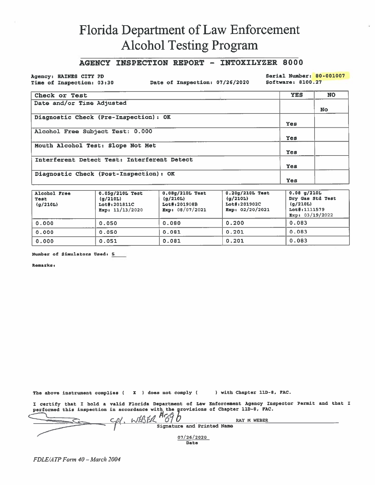#### AGENCY INSPECTION REPORT - INTOXILYZER 8000

Agency: HAINES CITY PD Time of Inspection: 03:30

Date of Inspection: 07/26/2020

Serial Number: 80-001007 Software: 8100.27

| Check or Test                               | <b>YES</b> | <b>NO</b> |
|---------------------------------------------|------------|-----------|
| Date and/or Time Adjusted                   |            |           |
|                                             |            | <b>No</b> |
| Diagnostic Check (Pre-Inspection): OK       |            |           |
|                                             | Yes        |           |
| Alcohol Free Subject Test: 0.000            |            |           |
|                                             | Yes        |           |
| Mouth Alcohol Test: Slope Not Met           |            |           |
|                                             | <b>Yes</b> |           |
| Interferent Detect Test: Interferent Detect |            |           |
|                                             | <b>Yes</b> |           |
| Diagnostic Check (Post-Inspection): OK      |            |           |
|                                             | Yes        |           |

| Alcohol Free<br>Test<br>(g/210L) | $0.05g/210L$ Test<br>(g/210L)<br>Lot#:201811C<br>$\text{Exp}: 11/13/2020$ | $0.08g/210L$ Test<br>(g/210L)<br>Lot#:201908B<br>Exp: $08/07/2021$ | $0.20q/210L$ Test<br>(g/210L)<br>Lot#:201902C<br>Exp: $02/20/2021$ | $0.08$ g/210L<br>Dry Gas Std Test<br>(q/210L)<br>Lot#:1111579<br>Exp: 03/19/2022 |
|----------------------------------|---------------------------------------------------------------------------|--------------------------------------------------------------------|--------------------------------------------------------------------|----------------------------------------------------------------------------------|
| 0.000                            | 0.050                                                                     | 0.080                                                              | 0.200                                                              | 0.083                                                                            |
| 0.000                            | 0.050                                                                     | 0.081                                                              | 0.201                                                              | 0.083                                                                            |
| 0.000                            | 0.051                                                                     | 0.081                                                              | 0.201                                                              | 0.083                                                                            |

Number of Simulators Used: 5

Remarks:

The above instrument complies ( X ) does not comply ( ) with Chapter 11D-8, FAC.

I certify that I hold a valid Florida Department of Law Enforcement Agency Inspector Permit and that I performed this inspection in accordance with the provisions of Chapter 11D-8, FAC.

 $H_{eff}$ WEBER RAY M WEBER Signature and Printed Name  $07/26/2020$ Date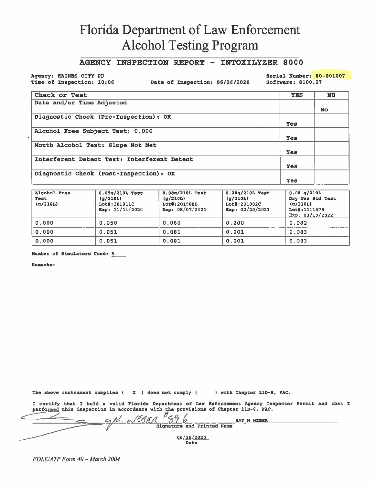#### AGENCY INSPECTION REPORT - INTOXILYZER 8000

Agency: HAINES CITY PD Time of Inspection: 10:06

Date of Inspection: 06/26/2020

Serial Number: 80-001007 Software: 8100.27

| Check or Test                               | <b>YES</b> | <b>NO</b> |
|---------------------------------------------|------------|-----------|
| Date and/or Time Adjusted                   |            |           |
|                                             |            | No.       |
| Diagnostic Check (Pre-Inspection) : OK      |            |           |
|                                             | Yes        |           |
| Alcohol Free Subject Test: 0.000            |            |           |
|                                             | <b>Yes</b> |           |
| Mouth Alcohol Test: Slope Not Met           |            |           |
|                                             | Yes        |           |
| Interferent Detect Test: Interferent Detect |            |           |
|                                             | Yes        |           |
| Diagnostic Check (Post-Inspection): OK      |            |           |
|                                             | Yes        |           |

| Alcohol Free<br>Test<br>(q/210L) | $0.05q/210L$ Test<br>(q/210L)<br>Lot#:201811C<br>Exp: 11/13/2020 | $0.08q/210L$ Test<br>(q/210L)<br>Lot#:201908B<br>Exp: $08/07/2021$ | $0.20q/210L$ Test<br>(q/210L)<br>Lot#:201902C<br>Exp: $02/20/2021$ | $0.08$ g/210L<br>Dry Gas Std Test<br>(q/210L)<br>Lot#:1111579<br>Exp: $03/19/2022$ |
|----------------------------------|------------------------------------------------------------------|--------------------------------------------------------------------|--------------------------------------------------------------------|------------------------------------------------------------------------------------|
| 0.000                            | 0.050                                                            | 0.080                                                              | 0.200                                                              | 0.082                                                                              |
| 0.000                            | 0.051                                                            | 0.081                                                              | 0.201                                                              | 0.083                                                                              |
| 0.000                            | 0.051                                                            | 0.081                                                              | 0.201                                                              | 0.083                                                                              |

Number of Simulators Used: 5

Remarks:

The above instrument complies ( $\boldsymbol{X}$ ) does not comply ( ) with Chapter 11D-8, FAC.

I certify that I hold a valid Florida Department of Law Enforcement Agency Inspector Permit and that I performed this inspection in accordance with the provisions of Chapter 11D-8, FAC.

 $\frac{H_{\leq \theta}}{2}$ K. LPBFR b RAY M WEBER Signature and Printed Name  $06/26/2020$ Date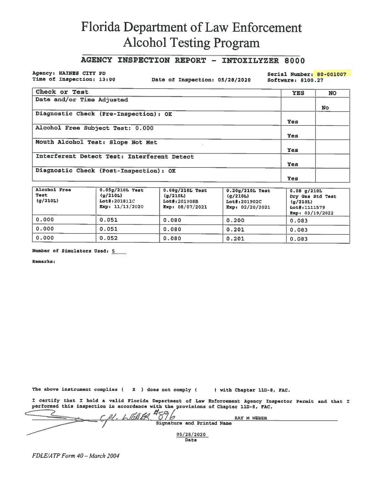### AGENCY INSPECTION REPORT - INTOXILYZER 8000

#### Agency: HAINES CITY PD Time of Inspection: 13:00

Date of Inspection: 05/28/2020

Serial Number: 80-001007 Software: 8100.27

| Check or Test                               | <b>YES</b> | <b>NO</b> |
|---------------------------------------------|------------|-----------|
| Date and/or Time Adjusted                   |            |           |
|                                             |            | <b>No</b> |
| Diagnostic Check (Pre-Inspection): OK       |            |           |
|                                             | Yes        |           |
| Alcohol Free Subject Test: 0.000            |            |           |
|                                             | <b>Yes</b> |           |
| Mouth Alcohol Test: Slope Not Met           |            |           |
|                                             | Yes        |           |
| Interferent Detect Test: Interferent Detect |            |           |
|                                             | Yes        |           |
| Diagnostic Check (Post-Inspection): OK      |            |           |
|                                             | Yes        |           |

| Alcohol Free<br>Test<br>(g/210L) | $0.05g/210L$ Test<br>(q/210L)<br>Lot#:201811C<br>Exp: $11/13/2020$ | $0.08g/210L$ Test<br>(g/210L)<br>Lot#:201908B<br>Exp: $08/07/2021$ | $0.20g/210L$ Test<br>(g/210L)<br>Lot#:201902C<br>Exp: 02/20/2021 | $0.08$ g/210L<br>Dry Gas Std Test<br>(q/210L)<br>Lot#:1111579<br>Exp: $03/19/2022$ |
|----------------------------------|--------------------------------------------------------------------|--------------------------------------------------------------------|------------------------------------------------------------------|------------------------------------------------------------------------------------|
| 0.000                            | 0.051                                                              | 0.080                                                              | 0.200                                                            | 0.083                                                                              |
| 0.000                            | 0.051                                                              | 0.080                                                              | 0.201                                                            | 0.083                                                                              |
| 0.000                            | 0.052                                                              | 0.080                                                              | 0.201                                                            | 0.083                                                                              |

Number of Simulators Used: 5

Remarks:

The above instrument complies ( X ) does not comply ( ) with Chapter 11D-8, FAC.

I certify that I hold a valid Florida Department of Law Enforcement Agency Inspector Permit and that I performed this inspection in accordance with the provisions of Chapter 11D-8, FAC.

| $\sigma$ $\sim$ $\sigma$<br>TA FO | RAY M WEBER                |  |
|-----------------------------------|----------------------------|--|
|                                   | Signature and Printed Name |  |
| 05/28/2020<br>Date                |                            |  |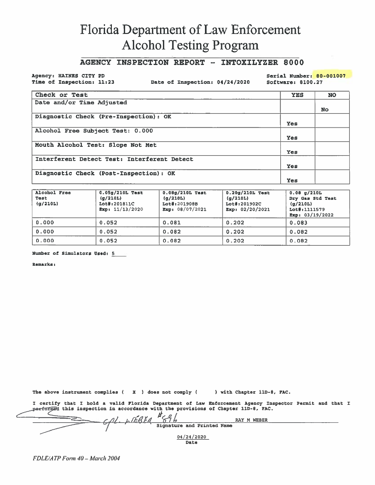### **AGENCY INSPECTION REPORT - INTOXILYZER 8000**

Agency: HAINES CITY PD Time of Inspection: 11:23

Date of Inspection: 04/24/2020

Serial Number: 80-001007 Software: 8100.27

| Check or Test                               | <b>YES</b> | <b>NO</b> |
|---------------------------------------------|------------|-----------|
| Date and/or Time Adjusted                   |            |           |
|                                             |            | No.       |
| Diagnostic Check (Pre-Inspection): OK       |            |           |
|                                             | Yes        |           |
| Alcohol Free Subject Test: 0.000            |            |           |
|                                             | Yes        |           |
| Mouth Alcohol Test: Slope Not Met           |            |           |
|                                             | Yes        |           |
| Interferent Detect Test: Interferent Detect |            |           |
|                                             | Yes        |           |
| Diagnostic Check (Post-Inspection): OK      |            |           |
|                                             | Yes        |           |

| Alcohol Free<br>Test<br>(q/210L) | $0.05g/210L$ Test<br>(g/210L)<br>Lot#:201811C<br>Exp: $11/13/2020$ | $0.08q/210L$ Test<br>(q/210L)<br>Lot#:201908B<br>Exp: 08/07/2021 | $0.20q/210L$ Test<br>(q/210L)<br>Lot#:201902C<br>Exp: $02/20/2021$ | $0.08$ g/210L<br>Dry Gas Std Test<br>(g/210L)<br>Lot#:1111579<br>Exp: $03/19/2022$ |
|----------------------------------|--------------------------------------------------------------------|------------------------------------------------------------------|--------------------------------------------------------------------|------------------------------------------------------------------------------------|
| 0.000                            | 0.052                                                              | 0.081                                                            | 0.202                                                              | 0.083                                                                              |
| 0.000                            | 0.052                                                              | 0.082                                                            | 0.202                                                              | 0.082                                                                              |
| 0.000                            | 0.052                                                              | 0.082                                                            | 0.202                                                              | 0.082                                                                              |

Number of Simulators Used: 5

**Remarks:** 

The above instrument complies ( X ) does not comply ( ) with Chapter 11D-8, FAC.

I certify that I hold a valid Florida Department of Law Enforcement Agency Inspector Permit and that I performed this inspection in accordance with the provisions of Chapter 11D-8, FAC.  $\mu_{\text{c}}$   $\mu_{\text{c}}$ 

|  | WEBER<br>RAY M             |  |
|--|----------------------------|--|
|  | Signature and Printed Name |  |
|  |                            |  |
|  | 04/24/2020                 |  |
|  | Date                       |  |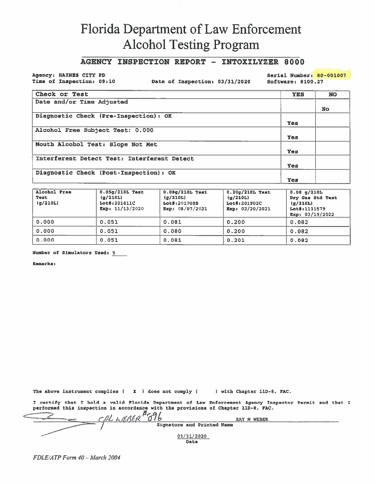### AGENCY INSPECTION REPORT - INTOXILYZER 8000

Agency: HAINES CITY PD Time of Inspection: 09:10

Date of Inspection: 03/31/2020

Serial Number: 80-001007 Software: 8100.27

| Check or Test                               | <b>YES</b> | <b>NO</b> |
|---------------------------------------------|------------|-----------|
| Date and/or Time Adjusted                   |            |           |
|                                             |            | <b>No</b> |
| Diagnostic Check (Pre-Inspection): OK       |            |           |
|                                             | Yes        |           |
| Alcohol Free Subject Test: 0.000            |            |           |
|                                             | Yes        |           |
| Mouth Alcohol Test: Slope Not Met           |            |           |
|                                             | <b>Yes</b> |           |
| Interferent Detect Test: Interferent Detect |            |           |
|                                             | Yes        |           |
| Diagnostic Check (Post-Inspection): OK      |            |           |
|                                             | Yes        |           |

| Alcohol Free<br>Test<br>(g/210L) | $0.05g/210L$ Test<br>(g/210L)<br>Lot#:201811C<br>Exp: $11/13/2020$ | $0.08q/210L$ Test<br>(g/210L)<br>Lot#:201908B<br>Exp: 08/07/2021 | $0.20g/210L$ Test<br>(g/210L)<br>Lot#:201902C<br>Exp: $02/20/2021$ | $0.08$ g/210L<br>Dry Gas Std Test<br>(q/210L)<br>Lot#:1111579<br>Exp: 03/19/2022 |
|----------------------------------|--------------------------------------------------------------------|------------------------------------------------------------------|--------------------------------------------------------------------|----------------------------------------------------------------------------------|
| 0.000                            | 0.051                                                              | 0.081                                                            | 0.200                                                              | 0.082                                                                            |
| 0.000                            | 0.051                                                              | 0.080                                                            | 0.200                                                              | 0.082                                                                            |
| 0.000                            | 0.051                                                              | 0.081                                                            | 0.201                                                              | 0.082                                                                            |

Number of Simulators Used: 5

**Remarks:** 

The above instrument complies ( $\boldsymbol{X}$ ) does not comply () with Chapter 11D-8, FAC.

I certify that I hold a valid Florida Department of Law Enforcement Agency Inspector Permit and that I performed this inspection in accordance with the provisions of Chapter 11D-8, FAC.

| $H \sim H$                 | <b>RAY M WEBER</b> |  |
|----------------------------|--------------------|--|
| Signature and Printed Name |                    |  |
| 03/31/2020<br>Date         |                    |  |